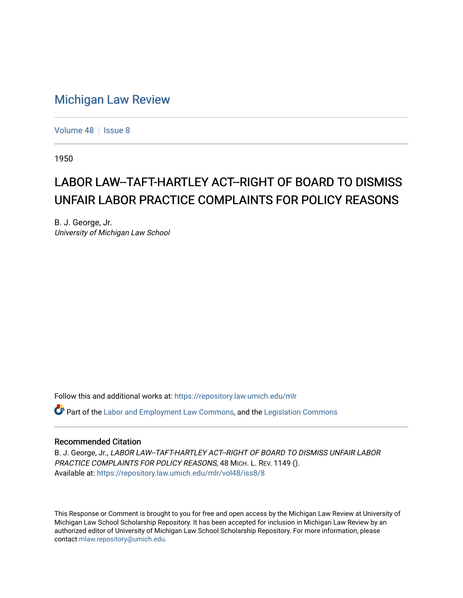## [Michigan Law Review](https://repository.law.umich.edu/mlr)

[Volume 48](https://repository.law.umich.edu/mlr/vol48) | [Issue 8](https://repository.law.umich.edu/mlr/vol48/iss8)

1950

# LABOR LAW--TAFT-HARTLEY ACT--RIGHT OF BOARD TO DISMISS UNFAIR LABOR PRACTICE COMPLAINTS FOR POLICY REASONS

B. J. George, Jr. University of Michigan Law School

Follow this and additional works at: [https://repository.law.umich.edu/mlr](https://repository.law.umich.edu/mlr?utm_source=repository.law.umich.edu%2Fmlr%2Fvol48%2Fiss8%2F8&utm_medium=PDF&utm_campaign=PDFCoverPages) 

 $\bullet$  Part of the [Labor and Employment Law Commons](http://network.bepress.com/hgg/discipline/909?utm_source=repository.law.umich.edu%2Fmlr%2Fvol48%2Fiss8%2F8&utm_medium=PDF&utm_campaign=PDFCoverPages), and the Legislation Commons

## Recommended Citation

B. J. George, Jr., LABOR LAW--TAFT-HARTLEY ACT--RIGHT OF BOARD TO DISMISS UNFAIR LABOR PRACTICE COMPLAINTS FOR POLICY REASONS, 48 MICH. L. REV. 1149 (). Available at: [https://repository.law.umich.edu/mlr/vol48/iss8/8](https://repository.law.umich.edu/mlr/vol48/iss8/8?utm_source=repository.law.umich.edu%2Fmlr%2Fvol48%2Fiss8%2F8&utm_medium=PDF&utm_campaign=PDFCoverPages)

This Response or Comment is brought to you for free and open access by the Michigan Law Review at University of Michigan Law School Scholarship Repository. It has been accepted for inclusion in Michigan Law Review by an authorized editor of University of Michigan Law School Scholarship Repository. For more information, please contact [mlaw.repository@umich.edu](mailto:mlaw.repository@umich.edu).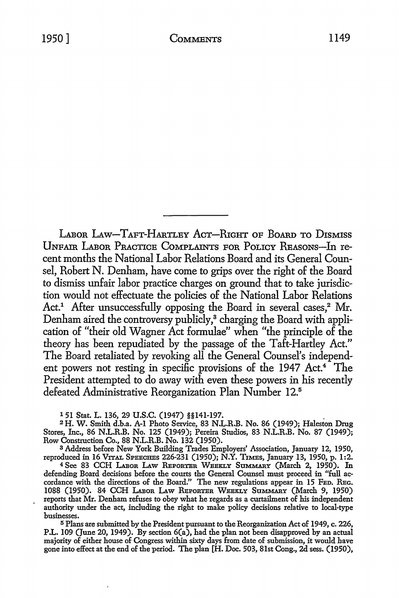LABOR LAW-TAFT-HARTLEY ACT-RIGHT OF BOARD TO DISMISS UNFAIR LABOR PRACTICE COMPLAINTS FOR POLICY REASONS-In recent months the National Labor Relations Board and its General Counsel, Robert N. Denham, have come to grips over the right of the Board to dismiss unfair labor practice charges on ground that to take jurisdiction would not effectuate the policies of the National Labor Relations Act.<sup>1</sup> After unsuccessfully opposing the Board in several cases.<sup>2</sup> Mr. Denham aired the controversy publicly,<sup>3</sup> charging the Board with application of "their old Wagner Act formulae" when "the principle of the theory has been repudiated by the passage of the Taft-Hartley Act." The Board retaliated by revoking all the General Counsel's independent powers not resting in specific provisions of the 1947 Act.<sup>4</sup> The President attempted to do away with even these powers in his recently defeated Administrative Reorganization Plan Number 12.<sup>5</sup>

1 51 Stat. L. 136, 29 U.S.C. (1947) §§141-197. .

<sup>2</sup>H. W. Smith d.b.a. A-1 Photo Service, 83 N.L.R.B. No. 86 (1949); Haleston Drug Stores, Inc., 86 N.L.R.B. No. 125 (1949); Pereira Studios, 83 N.L.R.B. No. 87 (1949); Row Construction Co., 88 N.L.R.B. No. 132 (1950).

<sup>3</sup>Address before New York Building Trades Employers' Association, January 12, 1950, reproduced in 16 VITAL SPEECHES 226-231 (1950); N.Y. TxMEs, January 13, 1950, p. 1:2.

4 See 83 CCH LABOR LAW REPORTER WEEKLY SUMMARY (March 2, 1950). In defending Board decisions before the courts the General Counsel must proceed in "full accordance with the directions of the Board." The new regulations appear in 15 FED. REc. 1088 (1950). 84 CCH LABOR LAW REPORTER WEEKLY SUMMARY (March 9, 1950) reports that Mr. Denham refuses to obey what he regards as a curtailment of his independent authority under the act, including the right to make policy decisions relative to local-type businesses.

<sup>5</sup>Plans are submitted by the President pursuant to the Reorganization Act of 1949, c. 226, P.L. 109 (June 20, 1949). By section 6(a), had the plan not been disapproved by an actual majority of either house of Congress within sixty days from date of submission, it would have gone into effect at the end of the period. The plan [H. Doc. 503, 81st Cong., 2d sess. (1950),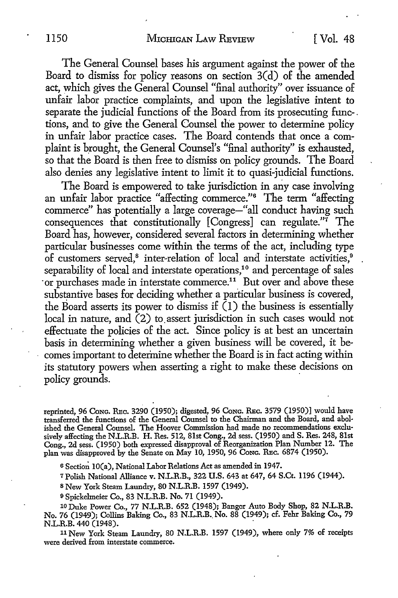The General Counsel bases his argument against the power of the Board *to* dismiss for policy reasons on section 3(d) of the amended act, which gives the General Counsel "final authority" over issuance of unfair labor practice complaints, and upon the legislative intent *to*  separate the judicial functions of the Board from its prosecuting func- . tions, and *to* give the General Counsel the power *to* determine policy in unfair labor practice cases. The Board contends that once a complaint is brought, the General Counsel's "final authority" is exhausted, so that the Board is then free *to* dismiss on policy grounds. The Board also denies any legislative intent *to* limit it *to* quasi-judicial functions.

The Board is empowered to take jurisdiction in any case involving an unfair labor practice "affecting commerce."6 The term "affecting commerce" has potentially a large coverage-"all conduct having such consequences that constitutionally  $[Congress]$  can regulate." $\vec{r}$  The Board has, however, considered several factors in determining whether particular businesses come within the terms of the act, including type of customers served,<sup>8</sup> inter-relation of local and interstate activities,<sup>9</sup> separability of local and interstate operations,<sup>10</sup> and percentage of sales or purchases made in interstate commerce.<sup>11</sup> But over and above these substantive bases for deciding whether a particular business is covered, the Board asserts its power to dismiss if  $(1)$  the business is essentially local in nature, and (2) to assert jurisdiction in such cases would not effectuate the policies of the act. Since policy is at best an uncertain basis in determining whether a given business will be covered, it becomes important to determine whether the Board is in fact acting within its statutory powers when asserting a right to make these decisions on policy grounds.

reprinted, 96 Cong. REC. 3290 (1950); digested, 96 Cong. REC. 3579 (1950)] would have transferred the functions of the General Counsel to the Chairman and the Board, and abolished the General Counsel. The Hoover Commission had made no recommendations exclusively affecting the N.L.R.B. H. Res. 512, 81st Cong., 2d sess. (1950) and S. Res. 248, 81st Cong., 2d sess. (1950) both expressed disapproval of Reorganization Plan Number 12. The plan was disapproved by the Senate on May 10, 1950, 96 Conc. REC. 6874 (1950).

6 Section 10(a), National Labor Relations Act as amended in 1947.

<sup>7</sup>Polish National Alliance v. N.L.R.B., 322 U.S. 643 at 647, 64 S.Ct. 1196 (1944).

s New York Steam Laundry, 80 N.L.R.B. 1597 (1949).

<sup>9</sup>Spickelmeier Co., 83 N.L.R.B. No. 71 (1949).

10 Duke Power Co., 77 N.L.R.B. 652 (1948); Bangor Auto Body Shop, 82 N.L.R.B. No. 76 (1949); Collins Baking Co., 83 N.L.R.B •. No. 88 (1949); cf. Fehr Baking Co., 79 N.L.R.B. 440 (1948).

11 New York Steam Laundry, 80 N.L.R.B. 1597 (1949), where only 7% of receipts were derived from interstate commerce.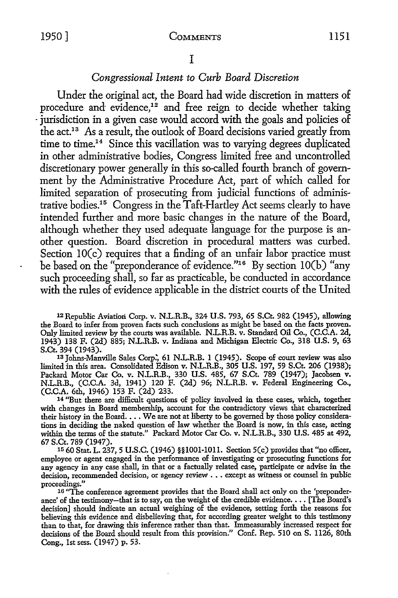## *Congressional Intent to Curb Board Discretion*

Under the original act, the Board had wide discretion in matters of procedure and evidence,<sup>12</sup> and free reign to decide whether taking iurisdiction in a given case would accord with the goals and policies of the act.13 As a result, the outlook of Board decisions varied greatly from time to time.14 Since this vacillation was to varying degrees duplicated in other administrative bodies, Congress limited free and uncontrolled discretionary power generally in this so-called fourth branch of government by the Administrative Procedure Act, part of which called for limited separation of prosecuting from judicial functions of administrative bodies.15 Congress in the Taft-Hartley Act seems clearly to have intended further and more basic changes in the nature of the Board, although whether they used adequate language for the purpose is another question. Board discretion in procedural matters was curbed. Section 10(c) requires that a finding of an unfair labor practice must be based on the "preponderance of evidence."16 By section IO(b) "any such proceeding shall, so far as practicable, be conducted in accordance with the rules of evidence applicable in the district courts of the United

12Republic Aviation Corp. v. NL.R.B., 324 U.S. 793, 65 S.Ct. 982 (1945), allowing the Board to infer from proven facts such conclusions as might be based on the facts proven. Only limited review by the courts was available. N.L.R.B. v. Standard Oil Co., (C.C.A. 2d, 1943) 138 F. (2d) 885; N.L.R.B. v. Indiana and Michigan Electric Co., 318 U.S. 9, 63

S.Ct. 394 (1943).<br>13 Johns-Manville Sales Corp., 61 N.L.R.B. 1 (1945). Scope of court review was also limited in this area. Consolidated Edison v. N.L.R.B., 305 U.S. 197, 59 S.Ct. 206 (1938); Packard Motor Car Co. v. N.L.R.B., 330 U.S. 485, 67 S.Ct. 789 (1947); Jacobsen v. N.L.R.B., (C.C.A. 3d, 1941) 120 F. (2d) 96; N.L.R.B. v. Federal Engineering Co.,

(C.C.A. 6th, 1946) 153 F. (2d) 233. 14 "But there are difficult questions of policy involved in these cases, which, together <sup>14</sup> "But there are difficult questions of policy involved in these cases, which, together with changes in Board membership, account for the contradictory views that characterized their history in the Board. . . We are not at liberty to be governed by those policy considerations in deciding the naked question of law whether the Board is now, in this case, acting within the terms of the statute." Packard Motor Car Co. v. N.L.R.B., 330 U.S. 485 at 492, 67 S.Ct. 789 (1947).

15 60 Stat. L. 237, 5 U.S.C. (1946) §§lO0I-1011. Section 5(c) provides that "no officer, employee or agent engaged in the performance of investigating or prosecuting functions for any agency in any case shall, in that or a factually related case, participate or advise in the decision, recommended decision, or agency review  $\ldots$  except as witness or counsel in public proceedings."

<sup>16</sup> "The conference agreement provides that the Board shall act only on the 'preponderance' of the testimony-that is to say, on the weight of the credible evidence.  $\dots$  [The Board's decision] should indicate an actual weighing of the evidence, setting forth the reasons for believing this evidence and disbelieving that, for according greater weight to this testimony than to that, for drawing this inference rather than that. Immeasurably increased respect for decisions of the Board should result from this provision." Conf. Rep. 510 on S. ll26, 80th Cong., 1st sess. (1947) p. 53.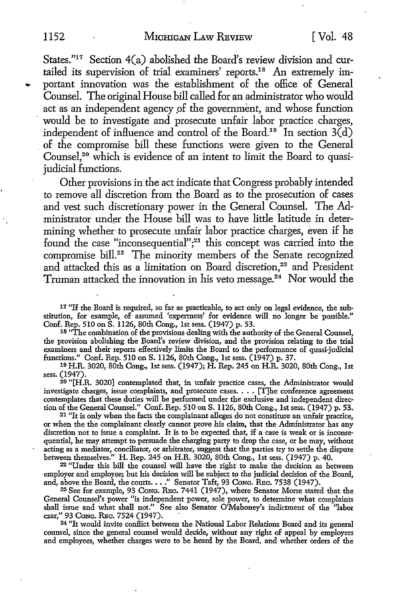States."17 Section 4(a) abolished the Board's review division and curtailed its supervision of trial examiners' reports.18 An extremely im portant innovation was the establishment of the office of General Counsel. The original House bill called for an administrator who would act as an independent agency of the government, and whose function would be to investigate and prosecute unfair labor practice charges, independent of influence and control of the Board.<sup>19</sup> In section  $3\vec{d}$ ) . of the compromise bill these functions were given to the General Counsel,<sup>20</sup> which is evidence of an intent to limit the Board to quasijudicial functions.

Other provisions in the act indicate that Congress probably intended to remove all discretion from the Board as to the prosecution of cases and vest such discretionary power in the General Counsel. The Administrator under the House bill was to have little latitude in determining whether- to prosecute .unfair labor practice charges, even if he found the case "inconsequential";<sup>21</sup> this concept was carried into the compromise bill.<sup>22</sup> The minority members of the Senate recognized and attacked this as a limitation on Board discretion,<sup>23</sup> and President Truman attacked the innovation in his veto message.24 Nor would the

17 "If the Board is required, so far as practicable, to act only on legal evidence, the substitution, for example, of assumed 'expertness' for evidence will no longer be possible." Conf. Rep. 510 on S. 1126, 80th Cong., 1st sess. (1947) p. 53.

<sup>18</sup> "The combination of the provisions dealing with the authority of the General Counsel, the provision abolishing the Board's review division, and the provision relating to the trial examiners and their reports effectively limits the Board to the performance of quasi-judicial functions." Con£. Rep. 510 on S. 1126, 80th Cong., 1st sess. (1947) p. 37.

10 H.R. 3020, 80th Cong., 1st sess. (1947); H. Rep. 245 on H.R. 3020, 80th Cong., 1st sess. (1947).

20 "[H.R. 3020] contemplated that, in unfair practice cases, the Administrator would investigate charges, issue complaints, and prosecute cases ••.. [T]he conference agreement contemplates that these duties will be performed under the exclusive and independent direction of the General Counsel." Con£. Rep. 510 on S. 1126, 80th Cong., 1st sess. (1947) p. 53.

 $21$  "It is only when the facts the complainant alleges do not constitute an unfair practice, or when the the complainant clearly cannot prove his claim, that the Administrator has any discretion not to issue a complaint. It is to be expected that, if a case is weak or is inconsequential, he may attempt to persuade the charging party to drop the case, or he may, without acting as a mediator, conciliator, or arbitrator, suggest that the parties try to settle the dispute between themselves." H. Rep. 245 on H.R. 3020, 80th Cong., 1st sess. (1947) p. 40.

<sup>22</sup>"Under this bill the counsel will have the right to make the decision as between employer and employee; but his decision will be subject to the judicial decision of the Board, and, above the Board, the courts  $\ldots$ ." Senator Taft, 93 Cong. Rec. 7538 (1947).<br><sup>23</sup> See for example, 93 Cong. Rec. 7441 (1947), where Senator Morse stated that the

General Counsel's power "is independent power, sole power, to determine what complaints shall issue and what shall not." See also Senator O'Mahoney's indictment of the ''labor czar," 93 CoNG. REc. 7524 (1947). ·

<sup>24</sup>"It would invite conflict between the National Labor Relations Board and its general counsel, since the general counsel would decide, without any right of appeal by employers and employees, whether charges were to be heard by the Board, and whether orders of the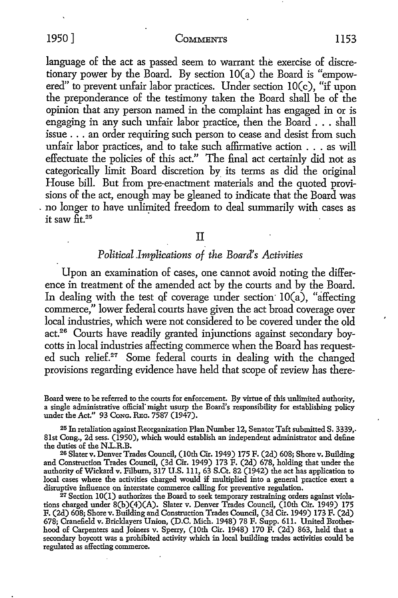#### 1950] COMMENTS 1153

language of the act as passed seem to warrant the exercise of discretionary power by the Board. By section IO(a) the Board is "empowered" to prevent unfair labor practices. Under section IO(c), "if upon the preponderance of the testimony taken the Board shall be of the opinion that any person named in the complaint has engaged in or is engaging in any such unfair labor practice, then the Board . . . shall issue ... an order requiring such person to cease and desist from such unfair labor practices, and to take such affirmative action . . . as will effectuate the policies of this act." The final act certainly did not as categorically limit Board discretion by its terms as did the original House bill. But from pre-enactment materials and the quoted provisions of the act, enough may be gleaned to indicate that the Board was . no longer to have unlimited freedom to deal summarily with cases as it saw  $\tilde{f}$ t.<sup>25</sup>

## II

## *Political .Implications of the Board's Activities*

Upon an examination of cases, one cannot avoid noting the difference in treatment of the amended act by the courts and by the Board. In dealing with the test of coverage under section  $10(a)$ , "affecting commerce," lower federal courts have given the act broad coverage over local industries, which were not considered to be covered under the old act.26 Courts have readily granted injunctions against secondary boycotts in local industries affecting commerce when the Board has requested such relief.27 Some federal courts in dealing with the changed provisions regarding evidence have held that scope of review has there-

Board were to be referred to the courts for enforcement. By virtue of this unlimited authority, a single administrative oflicial"might usurp the Board's responsibility for establishing policy under the Act." 93 Cong. REC. 7587 (1947).

25 In retaliation against Reorganization Plan Number 12, Senator Taft submitted S. 3339,. 81st Cong., 2d sess. (1950), which would establish an independent administrator and define the duties of the N.L.R.B.

<sup>26</sup> Slater v. Denver Trades Council, (10th Cir. 1949) 175 F. (2d) 608; Shore v. Building and Construction Trades Council, (3d Cir. 1949) 173 F. (2d) 678, holding that under the authority of Wickard v. Filburn, 317 U.S. 111, 63 S.Ct. 82 (1942) the act has application to local cases where the activities charged would if multiplied into a general practice exert a disruptive influence on interstate commerce calling for preventive regulation.<br><sup>27</sup> Section 10(1) authorizes the Board to seek temporary restraining orders against viola-

tions charged under 8(b)(4)(A). Slater v. Denver Trades Council, (10th Cir. 1949) 175 F. (2d) 608; Shore v. Building and Construction Trades Council, (3d Cir. 1949) 173 F. (2d) 678; Cranefield v. Bricklayers Union, (D.C. Mich. 1948) 78 F. Supp. 611. United Brotherhood of Carpenters and Joiners v. Sperry, (10th Cir. 1948) 170 F. (2d) 863, held that a secondary boycott was a prohibited activity which in local building trades activities could be regulated as affecting commerce.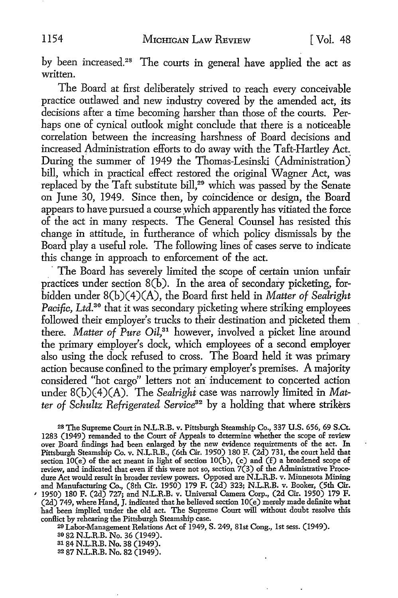by been increased.<sup>28</sup> The courts in general have applied the act as written.

The Board at first deliberately strived to reach every conceivable practice outlawed and new industry covered by the amended act, its decisions after a time becoming harsher than those of the courts. Perhaps one of cynical outlook might conclude that there is a noticeable correlation between the increasing harshness of Board decisions and increased Administration efforts to do away with the Taft-Hartley Act. During the summer of 1949 the Thomas-Lesinski (Administration) bill, which in practical effect restored the original Wagner Act, was replaced by the Taft substitute bill,<sup>29</sup> which was passed by the Senate on June 30, 1949. Since then, by coincidence or design, the Board appears to have pursued a course which apparently has vitiated the force of the act in many respects. The General Counsel has resisted this change in attitude, in furtherance of which policy dismissals by the Board play a useful role. The following lines of cases serve to indicate this change in approach to enforcement of the act.

The Board has severely limited the scope of certain union unfair practices under section  $8(b)$ . In the area of secondary picketing, forbidden under 8(b)( 4)(A), the Board first held in *Matter of Sealright Pacific, Ltd.*<sup>30</sup> that it was secondary picketing where striking employees followed their employer's trucks to their destination and picketed them there. *Matter of Pure Oil*,<sup>31</sup> however, involved a picket line around the primary employer's dock, which employees of a second employer also using the dock refused to cross. The Board held it was primary action because confined to the primary employer's premises. A majority considered "hot cargo" letters not an inducement to concerted action under 8(b)(4)(A). The *Sealrighi* case was narrowly limited in *Matter of Schultz Refrigerated Service32* by a holding that where strikers

28 The Supreme Court in N.L.R.B. v. Pittsburgh Steamship Co., 337 U.S. 656, 69 S.Ct. 1283 (1949) remanded to the Court of Appeals to determine whether the scope of review over Board findings had been enlarged by the new evidence requirements of the act. In Pittsburgh Steamship Co. v. N.L.R.B., (6th Cir. 1950) 180 F. (2d) 731, the court held that section  $10(e)$  of the act meant in light of section  $10(b)$ , (c) and (f) a broadened scope of review, and indicated that even if this were not so, section  $7(3)$  of the Administrative Procedure Act would result in broader review powers. Opposed are N.L.R.B. v. Minnesota Mining and Manufacturing Co., (8th Cir. 1950) 179 F. (2d) 323; N.L.R.B. v. Booker, (5th Cir. *<sup>1</sup>*1950) 180 F. (2d) 727; and N.L.R.B. v. Universal Camera Corp., (2d Cir. 1950) 179 F. (2d) 749, where Hand, J. indicated that he believed section lO(e) merely made definite what had been implied under the old act. The Supreme Court will without doubt resolve this conflict by rehearing the Pittsburgh Steamship case.

<sup>29</sup> Labor-Management Relations Act of 1949, S. 249, 81st Cong., 1st sess. (1949).

so 82 N.L.R.B. No. 36 (1949).

a1 84 N.L.R.B. No. 38 (1949).

s2 87 N.L.R.B. No. 82 (1949).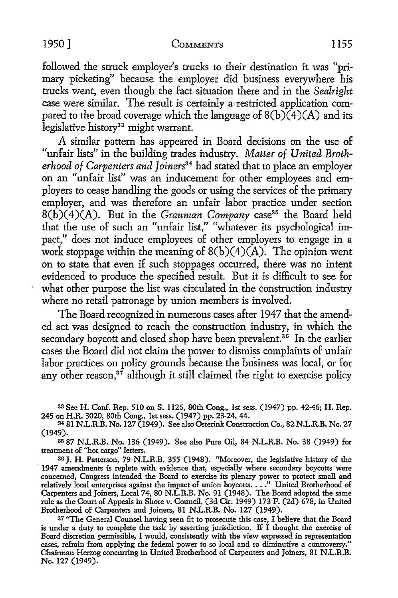#### 1950] COMMENTS 1155

followed the struck employer's trucks to their destination it was "primary picketing" because the employer did business everywhere his trucks went, even though the fact situation there and in the *Sealright*  case were similar. The result is certainly a-restricted application compared to the broad coverage which the language of  $8(b)(4)(A)$  and its legislative history<sup>33</sup> might warrant.

A similar pattern has appeared in Board decisions on the use of "unfair lists" in the building trades industry. *Matter of United Broth*erhood of Carpenters and Joiners<sup>34</sup> had stated that to place an employer on an "unfair list'' was an inducement for other employees and employers to cease handling the goods or using the services of the primary employer, and was therefore an unfair labor practice under section 8(b)(4)(A). But in the *Grauman Company* case35 the Board held that the use of such an "unfair list," "whatever its psychological impact," does not induce employees of other employers to engage in a work stoppage within the meaning of  $8(b)(4)(A)$ . The opinion went on to state that even if such stoppages occurred, there was no intent evidenced to produce the specified result. But it is difficult to see for what other purpose the list was circulated in the construction industry where no retail patronage by union members is involved.

The Board recognized in numerous cases after 1947 that the amended act was designed to reach the construction industry, in which the secondary boycott and closed shop have been prevalent.<sup>36</sup> In the earlier cases the Board did not claim the power to dismiss complaints of unfair labor practices on policy grounds because the business was local, or for any other reason, $37$  although it still claimed the right to exercise policy

<sup>33</sup>See H. Conf. Rep. 510 on S. 1126, 80th Cong., 1st sess. (1947) pp. 42-46; H. Rep. 245 on H.R. 3020, 80th Cong., 1st sess. (1947) pp. 23-24, 44. .

<sup>34</sup>81 N.L.R.B. No. 127 (1949). See also Osterink Construction Co., 82 N.L.R.B. No. 27 (1949).

35 87 N.L.R.B. No. 136 (1949). See also Pure Oil, 84 N.L.R.B. No. 38 (1949) for treatment of "hot cargo" letters.

36 J. H. Patterson, 79 N.L.R.B. 355 (1948). "Moreover, the legislative history of the · 1947 amendments is replete with evidence that, especially where secondary boycotts were concerned, Congress intended the Board to exercise its plenary power to protect small and concerned, Congress intended the board to exercise its pienary power to protect small and<br>relatively local enterprises against the impact of union boycotts...." United Brotherhood of<br>Carpenters and Joiners, Local 74, 80 N. rule as the Court of Appeals in Shore *v.* Council, (3d Cir. 1949) 173 F. (2d) 678, in United Brotherhood of Carpenters and Joiners, 81 N.L.R.B. No. 127 (1949).

37 "The General Counsel having seen fit to prosecute this case, I believe that the Board is under a duty to complete the task by asserting jurisdiction. If I thought the exercise of Board discretion permissible, I would, consistently with the view expressed in representation cases, refrain from applying the federal power to so local and so diminutive a controversy." Chairman Herzog concurring in United Brotherhood of Carpenters and Joiners, 81 N.L.R.B. No. 127 (1949).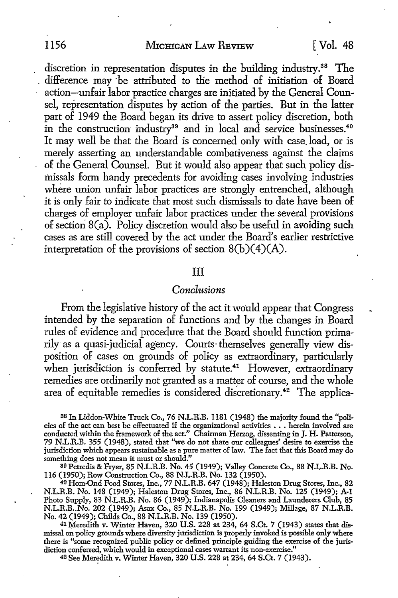## 1156 MICHIGAN LAW REVIEW [ Vol. 48

discretion in representation disputes in the building industry.<sup>38</sup> The difference may be attributed to the method of initiation of Board action-unfair labor practice charges are initiated by the General Counsel, representation disputes by action of the parties. But in the latter part of 1949 the Board began its drive to assert policy discretion, both in the construction industry<sup>39</sup> and in local and service businesses.<sup>40</sup> It may well be that the Board is concerned only with case. load, or is merely asserting an understandable combativeness against the claims of the General Counsel. But it would also appear that such policy dismissals form handy precedents for avoiding cases involving industries where union unfair labor practices are strongly entrenched, although it is only fair to indicate that most such dismissals to date have been of charges of employer unfair labor practices under the· several provisions of section  $8(a)$ . Policy discretion would also be useful in avoiding such cases as are still covered by the act under the Board's earlier restrictive interpretation of the provisions of section  $8(b)(4)(A)$ .

## III

## *Conclusions*

From the legislative history of the act it would appear that Congress intended by the separation of functions and by the changes in Board rules of evidence and procedure that the Board should function primarily· as a quasi-judicial agency. Courts-themselves generally view disposition of cases on grounds of policy as extraordinary, particularly when jurisdiction is conferred by statute.<sup>41</sup> However, extraordinary remedies are ordinarily not granted as a matter of course, and the whole area of equitable remedies is considered discretionary.42 The applica-

38 In Liddon-White Truck Co., 76 N.L.R.B. 1181 (1948) the majority found the "policies of the act can best be effectuated if the organizational activities . . . herein involved are conducted within the framework of the act." Chairman Herzog, dissenting in J. H. Patterson, 79 N.L.R.B. 355 (1948), stated that "we do not share our colleagues' desire to exercise the jurisdiction which appears sustainable as a pure matter of law. The fact that this Board may do something does not mean it must or should."

39 Petredis & Fryer, 85 N.L.R.B. No. 45 (1949); Valley Concrete Co., 88 N.L.R.B. No. 116 (1950); Row Construction Co., 88 N.L.R.B. No. 132 (1950).

40 Hom-Ond Food Stores, Inc., 77 N.L.R.B. 647 (1948); Haleston Drug Stores, Inc., 82 N.L.R.B. No. 148 (1949); Haleston Drug Stores, Inc., 86 N.L.R.B. No. 125 (1949); **A-1**  Photo Supply, 83 N.L.R.B. No. 86 (1949); Indianapolis Cleaners and Launderers Club, 85 N.L.R.B •. No. 202 (1949); Asax Co., 85 N.L.R.B. No. 199 (1949); Millage, 87 N.L.R.B. No. 42 (1949); Childs Co., 88 N.L.R.B. No. 139 (1950).

<sup>41</sup> Meredith v. Winter Haven, 320 U.S. 228 at 234, 64 S.Ct. 7 (1943) states that dismissal on policy grounds where diversity jurisdiction is properly invoked is possible only where there is "some recognized public policy or defined principle guiding the exercise of the jurisdiction conferred, which would in exceptional cases warrant its non-exercise."

42 See Meredith v. Winter Haven, 320 U.S. 228 at 234, 64 S.Ct. 7 (1943).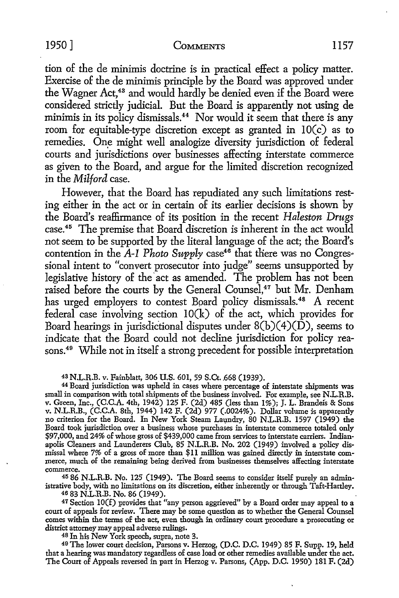## 1950] COMMENTS 1157

tion of the de minimis doctrine is in practical effect a policy matter. Exercise of the de minimis principle by the Board was approved under the Wagner Act,<sup>43</sup> and would hardly be denied even if the Board were considered strictly judicial. But the Board is apparently not using de minimis in its policy dismissals.<sup>44</sup> Nor would it seem that there is any room for equitable-type discretion except as granted in IO(c) as to remedies. One might well analogize diversity jurisdiction of federal courts and jurisdictions over businesses affecting interstate commerce as given to the Board, and argue for the limited discretion recognized in the *Milford* case.

However, that the Board has repudiated any such limitations resting either in the act or in certain of its earlier decisions is shown by the Board's reaffirmance of its position in the recent *Haleston Drugs*  case.<sup>45</sup> The premise that Board discretion is inherent in the act would not seem *to* be supported by the literal language of the act; the Board's contention in the *A-1 Photo Supply* case<sup>46</sup> that there was no Congressional intent *to* "convert prosecutor into judge" seems unsupported by legislative history of the act as amended. The problem has not been raised before the courts by the General Counsel,<sup>47</sup> but Mr. Denham has urged employers to contest Board policy dismissals.<sup>48</sup> A recent federal case involving section IO(k) of the act, which provides for Board hearings in jurisdictional disputes under  $8(b)(4)(D)$ , seems to indicate that the Board could not decline jurisdiction for policy reasons.<sup>49</sup> While not in itself a strong precedent for possible interpretation

43 N.L.R.B. v. Fainblatt, 306 U.S. 601, 59 S.Ct. 668 (1939).

<sup>44</sup>Board jurisdiction was upheld in cases where percentage of interstate shipments was small in comparison with total shipments of the business involved. For example, see N.L.R.B. v. Green, Inc., (C.C.A. 4th, 1942) 125 F. (2d) 485 (less than 1%); J. L. Brandeis & Sons v. N.L.R.B., (C.C.A. 8th, 1944) 142 F. (2d) 977 (.0024%). Dollar volume is apparently no criterion for the Board. In New York Steam Laundry, 80 N.L.R.B. 1597 (1949) the Board took jurisdiction over a business whose purchases in interstate commerce totaled only \$97,000, and 24% of whose gross of \$439,000 came from services to interstate carriers. Indianapolis Cleaners and Launderers Club, 85 N.L.R.B. No. 202 (1949) involved a policy dismissal where 7% of a gross of more than \$11 million was gained directly in interstate commerce, much of the remaining being derived from businesses themselves affecting interstate

<sup>45</sup> 86 N.L.R.B. No. 125 (1949). The Board seems to consider itself purely an administrative body, with no limitations on its discretion, either inherently or through Taft-Hartley.

46 83 N.L.R.B. No. 86 (1949).

47 Section IO(f) provides that "any person aggrieved" by a Board order may appeal to a court of appeals for review. There may be some question as to whether the General Counsel comes within the terms of the act, even though in ordinary court procedure a prosecuting or district attorney may appeal adverse rulings.

<sup>48</sup>In his New York speech, supra, note 3.

49 The lower court decision, Parsons v. Herzog, (D.C. D.C. 1949) 85 F. Supp. 19, held that a hearing was mandatory regardless of case load or other remedies available under the act. The Court of Appeals reversed in part in Herzog v. Parsons, (App. D.C. 1950) 181 F. (2d)